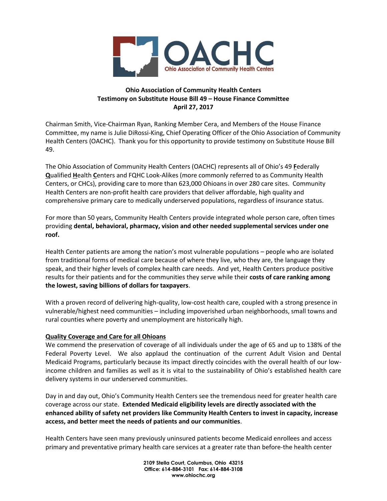

# **Ohio Association of Community Health Centers Testimony on Substitute House Bill 49 – House Finance Committee April 27, 2017**

Chairman Smith, Vice-Chairman Ryan, Ranking Member Cera, and Members of the House Finance Committee, my name is Julie DiRossi-King, Chief Operating Officer of the Ohio Association of Community Health Centers (OACHC). Thank you for this opportunity to provide testimony on Substitute House Bill 49.

The Ohio Association of Community Health Centers (OACHC) represents all of Ohio's 49 **F**ederally **Q**ualified **H**ealth **C**enters and FQHC Look-Alikes (more commonly referred to as Community Health Centers, or CHCs), providing care to more than 623,000 Ohioans in over 280 care sites. Community Health Centers are non-profit health care providers that deliver affordable, high quality and comprehensive primary care to medically underserved populations, regardless of insurance status.

For more than 50 years, Community Health Centers provide integrated whole person care, often times providing **dental, behavioral, pharmacy, vision and other needed supplemental services under one roof.**

Health Center patients are among the nation's most vulnerable populations – people who are isolated from traditional forms of medical care because of where they live, who they are, the language they speak, and their higher levels of complex health care needs. And yet, Health Centers produce positive results for their patients and for the communities they serve while their **costs of care ranking among the lowest, saving billions of dollars for taxpayers**.

With a proven record of delivering high-quality, low-cost health care, coupled with a strong presence in vulnerable/highest need communities – including impoverished urban neighborhoods, small towns and rural counties where poverty and unemployment are historically high.

### **Quality Coverage and Care for all Ohioans**

We commend the preservation of coverage of all individuals under the age of 65 and up to 138% of the Federal Poverty Level. We also applaud the continuation of the current Adult Vision and Dental Medicaid Programs, particularly because its impact directly coincides with the overall health of our lowincome children and families as well as it is vital to the sustainability of Ohio's established health care delivery systems in our underserved communities.

Day in and day out, Ohio's Community Health Centers see the tremendous need for greater health care coverage across our state. **Extended Medicaid eligibility levels are directly associated with the enhanced ability of safety net providers like Community Health Centers to invest in capacity, increase access, and better meet the needs of patients and our communities**.

Health Centers have seen many previously uninsured patients become Medicaid enrollees and access primary and preventative primary health care services at a greater rate than before-the health center

> **2109 Stella Court, Columbus, Ohio 43215 Office: 614-884-3101 Fax: 614-884-3108 www.ohiochc.org**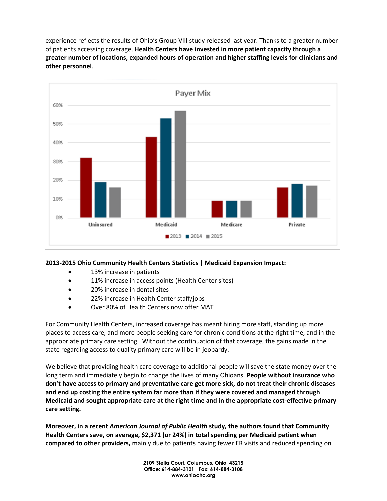experience reflects the results of Ohio's Group VIII study released last year. Thanks to a greater number of patients accessing coverage, **Health Centers have invested in more patient capacity through a greater number of locations, expanded hours of operation and higher staffing levels for clinicians and other personnel**.



# **2013-2015 Ohio Community Health Centers Statistics | Medicaid Expansion Impact:**

- **•** 13% increase in patients
- 11% increase in access points (Health Center sites)
- 20% increase in dental sites
- 22% increase in Health Center staff/jobs
- Over 80% of Health Centers now offer MAT

For Community Health Centers, increased coverage has meant hiring more staff, standing up more places to access care, and more people seeking care for chronic conditions at the right time, and in the appropriate primary care setting. Without the continuation of that coverage, the gains made in the state regarding access to quality primary care will be in jeopardy.

We believe that providing health care coverage to additional people will save the state money over the long term and immediately begin to change the lives of many Ohioans. **People without insurance who don't have access to primary and preventative care get more sick, do not treat their chronic diseases and end up costing the entire system far more than if they were covered and managed through Medicaid and sought appropriate care at the right time and in the appropriate cost-effective primary care setting.** 

**Moreover, in a recent** *American Journal of Public Health* **study, the authors found that Community Health Centers save, on average, \$2,371 (or 24%) in total spending per Medicaid patient when compared to other providers,** mainly due to patients having fewer ER visits and reduced spending on

> **2109 Stella Court, Columbus, Ohio 43215 Office: 614-884-3101 Fax: 614-884-3108 www.ohiochc.org**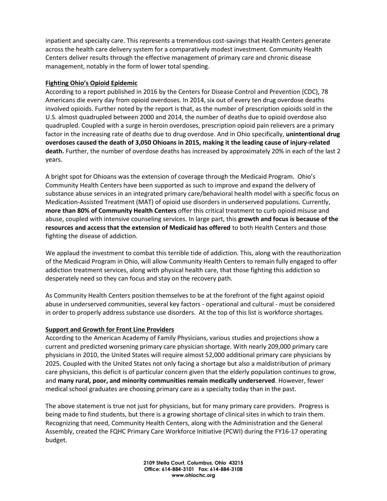inpatient and specialty care. This represents a tremendous cost-savings that Health Centers generate across the health care delivery system for a comparatively modest investment. Community Health Centers deliver results through the effective management of primary care and chronic disease management, notably in the form of lower total spending.

#### **Fighting Ohio's Opioid Epidemic**

According to a report published in 2016 by the Centers for Disease Control and Prevention (CDC), 78 Americans die every day from opioid overdoses. In 2014, six out of every ten drug overdose deaths involved opioids. Further noted by the report is that, as the number of prescription opioids sold in the U.S. almost quadrupled between 2000 and 2014, the number of deaths due to opioid overdose also quadrupled. Coupled with a surge in heroin overdoses, prescription opioid pain relievers are a primary factor in the increasing rate of deaths due to drug overdose. And in Ohio specifically, **unintentional drug overdoses caused the death of 3,050 Ohioans in 2015, making it the leading cause of injury-related death.** Further, the number of overdose deaths has increased by approximately 20% in each of the last 2 years.

A bright spot for Ohioans was the extension of coverage through the Medicaid Program. Ohio's Community Health Centers have been supported as such to improve and expand the delivery of substance abuse services in an integrated primary care/behavioral health model with a specific focus on Medication-Assisted Treatment (MAT) of opioid use disorders in underserved populations. Currently, **more than 80% of Community Health Centers** offer this critical treatment to curb opioid misuse and abuse, coupled with intensive counseling services. In large part, this **growth and focus is because of the resources and access that the extension of Medicaid has offered** to both Health Centers and those fighting the disease of addiction.

We applaud the investment to combat this terrible tide of addiction. This, along with the reauthorization of the Medicaid Program in Ohio, will allow Community Health Centers to remain fully engaged to offer addiction treatment services, along with physical health care, that those fighting this addiction so desperately need so they can focus and stay on the recovery path.

As Community Health Centers position themselves to be at the forefront of the fight against opioid abuse in underserved communities, several key factors - operational and cultural - must be considered in order to properly address substance use disorders. At the top of this list is workforce shortages.

### **Support and Growth for Front Line Providers**

According to the American Academy of Family Physicians, various studies and projections show a current and predicted worsening primary care physician shortage. With nearly 209,000 primary care physicians in 2010, the United States will require almost 52,000 additional primary care physicians by 2025. Coupled with the United States not only facing a shortage but also a maldistribution of primary care physicians, this deficit is of particular concern given that the elderly population continues to grow, and **many rural, poor, and minority communities remain medically underserved**. However, fewer medical school graduates are choosing primary care as a specialty today than in the past.

The above statement is true not just for physicians, but for many primary care providers. Progress is being made to find students, but there is a growing shortage of clinical sites in which to train them. Recognizing that need, Community Health Centers, along with the Administration and the General Assembly, created the FQHC Primary Care Workforce Initiative (PCWI) during the FY16-17 operating budget.

> **2109 Stella Court, Columbus, Ohio 43215 Office: 614-884-3101 Fax: 614-884-3108 www.ohiochc.org**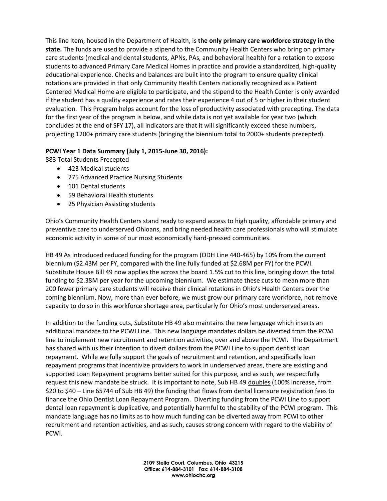This line item, housed in the Department of Health, is **the only primary care workforce strategy in the state.** The funds are used to provide a stipend to the Community Health Centers who bring on primary care students (medical and dental students, APNs, PAs, and behavioral health) for a rotation to expose students to advanced Primary Care Medical Homes in practice and provide a standardized, high-quality educational experience. Checks and balances are built into the program to ensure quality clinical rotations are provided in that only Community Health Centers nationally recognized as a Patient Centered Medical Home are eligible to participate, and the stipend to the Health Center is only awarded if the student has a quality experience and rates their experience 4 out of 5 or higher in their student evaluation. This Program helps account for the loss of productivity associated with precepting. The data for the first year of the program is below, and while data is not yet available for year two (which concludes at the end of SFY 17), all indicators are that it will significantly exceed these numbers, projecting 1200+ primary care students (bringing the biennium total to 2000+ students precepted).

## **PCWI Year 1 Data Summary (July 1, 2015-June 30, 2016):**

883 Total Students Precepted

- 423 Medical students
- 275 Advanced Practice Nursing Students
- 101 Dental students
- 59 Behavioral Health students
- 25 Physician Assisting students

Ohio's Community Health Centers stand ready to expand access to high quality, affordable primary and preventive care to underserved Ohioans, and bring needed health care professionals who will stimulate economic activity in some of our most economically hard-pressed communities.

HB 49 As Introduced reduced funding for the program (ODH Line 440-465) by 10% from the current biennium (\$2.43M per FY, compared with the line fully funded at \$2.68M per FY) for the PCWI. Substitute House Bill 49 now applies the across the board 1.5% cut to this line, bringing down the total funding to \$2.38M per year for the upcoming biennium. We estimate these cuts to mean more than 200 fewer primary care students will receive their clinical rotations in Ohio's Health Centers over the coming biennium. Now, more than ever before, we must grow our primary care workforce, not remove capacity to do so in this workforce shortage area, particularly for Ohio's most underserved areas.

In addition to the funding cuts, Substitute HB 49 also maintains the new language which inserts an additional mandate to the PCWI Line. This new language mandates dollars be diverted from the PCWI line to implement new recruitment and retention activities, over and above the PCWI. The Department has shared with us their intention to divert dollars from the PCWI Line to support dentist loan repayment. While we fully support the goals of recruitment and retention, and specifically loan repayment programs that incentivize providers to work in underserved areas, there are existing and supported Loan Repayment programs better suited for this purpose, and as such, we respectfully request this new mandate be struck. It is important to note, Sub HB 49 doubles (100% increase, from \$20 to \$40 – Line 65744 of Sub HB 49) the funding that flows from dental licensure registration fees to finance the Ohio Dentist Loan Repayment Program. Diverting funding from the PCWI Line to support dental loan repayment is duplicative, and potentially harmful to the stability of the PCWI program. This mandate language has no limits as to how much funding can be diverted away from PCWI to other recruitment and retention activities, and as such, causes strong concern with regard to the viability of PCWI.